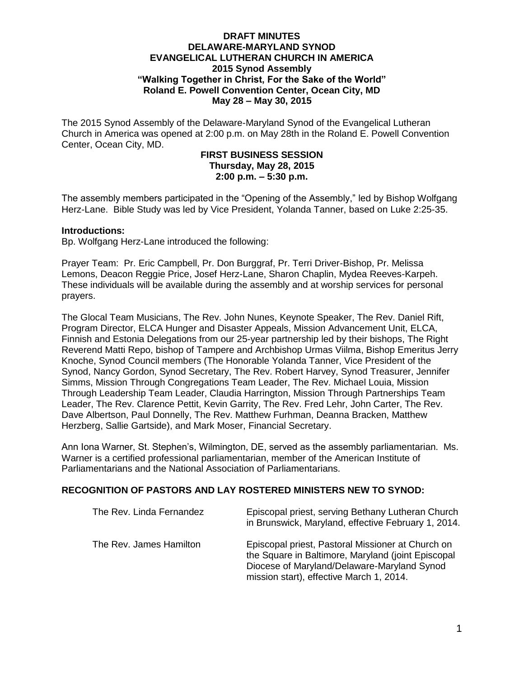### **DRAFT MINUTES DELAWARE-MARYLAND SYNOD EVANGELICAL LUTHERAN CHURCH IN AMERICA 2015 Synod Assembly "Walking Together in Christ, For the Sake of the World" Roland E. Powell Convention Center, Ocean City, MD May 28 – May 30, 2015**

The 2015 Synod Assembly of the Delaware-Maryland Synod of the Evangelical Lutheran Church in America was opened at 2:00 p.m. on May 28th in the Roland E. Powell Convention Center, Ocean City, MD.

# **FIRST BUSINESS SESSION Thursday, May 28, 2015 2:00 p.m. – 5:30 p.m.**

The assembly members participated in the "Opening of the Assembly," led by Bishop Wolfgang Herz-Lane. Bible Study was led by Vice President, Yolanda Tanner, based on Luke 2:25-35.

### **Introductions:**

Bp. Wolfgang Herz-Lane introduced the following:

Prayer Team: Pr. Eric Campbell, Pr. Don Burggraf, Pr. Terri Driver-Bishop, Pr. Melissa Lemons, Deacon Reggie Price, Josef Herz-Lane, Sharon Chaplin, Mydea Reeves-Karpeh. These individuals will be available during the assembly and at worship services for personal prayers.

The Glocal Team Musicians, The Rev. John Nunes, Keynote Speaker, The Rev. Daniel Rift, Program Director, ELCA Hunger and Disaster Appeals, Mission Advancement Unit, ELCA, Finnish and Estonia Delegations from our 25-year partnership led by their bishops, The Right Reverend Matti Repo, bishop of Tampere and Archbishop Urmas Viilma, Bishop Emeritus Jerry Knoche, Synod Council members (The Honorable Yolanda Tanner, Vice President of the Synod, Nancy Gordon, Synod Secretary, The Rev. Robert Harvey, Synod Treasurer, Jennifer Simms, Mission Through Congregations Team Leader, The Rev. Michael Louia, Mission Through Leadership Team Leader, Claudia Harrington, Mission Through Partnerships Team Leader, The Rev. Clarence Pettit, Kevin Garrity, The Rev. Fred Lehr, John Carter, The Rev. Dave Albertson, Paul Donnelly, The Rev. Matthew Furhman, Deanna Bracken, Matthew Herzberg, Sallie Gartside), and Mark Moser, Financial Secretary.

Ann Iona Warner, St. Stephen's, Wilmington, DE, served as the assembly parliamentarian. Ms. Warner is a certified professional parliamentarian, member of the American Institute of Parliamentarians and the National Association of Parliamentarians.

### **RECOGNITION OF PASTORS AND LAY ROSTERED MINISTERS NEW TO SYNOD:**

| The Rev. Linda Fernandez | Episcopal priest, serving Bethany Lutheran Church<br>in Brunswick, Maryland, effective February 1, 2014.                                                                                           |
|--------------------------|----------------------------------------------------------------------------------------------------------------------------------------------------------------------------------------------------|
| The Rev. James Hamilton  | Episcopal priest, Pastoral Missioner at Church on<br>the Square in Baltimore, Maryland (joint Episcopal<br>Diocese of Maryland/Delaware-Maryland Synod<br>mission start), effective March 1, 2014. |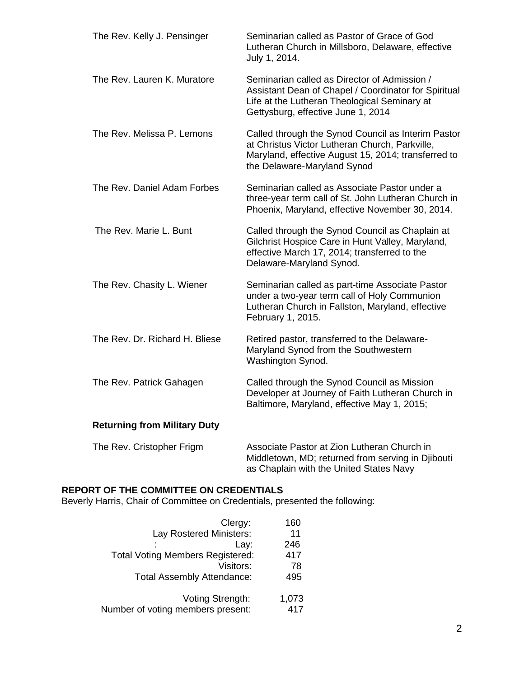| The Rev. Kelly J. Pensinger         | Seminarian called as Pastor of Grace of God<br>Lutheran Church in Millsboro, Delaware, effective<br>July 1, 2014.                                                                          |
|-------------------------------------|--------------------------------------------------------------------------------------------------------------------------------------------------------------------------------------------|
| The Rev. Lauren K. Muratore         | Seminarian called as Director of Admission /<br>Assistant Dean of Chapel / Coordinator for Spiritual<br>Life at the Lutheran Theological Seminary at<br>Gettysburg, effective June 1, 2014 |
| The Rev. Melissa P. Lemons          | Called through the Synod Council as Interim Pastor<br>at Christus Victor Lutheran Church, Parkville,<br>Maryland, effective August 15, 2014; transferred to<br>the Delaware-Maryland Synod |
| The Rev. Daniel Adam Forbes         | Seminarian called as Associate Pastor under a<br>three-year term call of St. John Lutheran Church in<br>Phoenix, Maryland, effective November 30, 2014.                                    |
| The Rev. Marie L. Bunt              | Called through the Synod Council as Chaplain at<br>Gilchrist Hospice Care in Hunt Valley, Maryland,<br>effective March 17, 2014; transferred to the<br>Delaware-Maryland Synod.            |
| The Rev. Chasity L. Wiener          | Seminarian called as part-time Associate Pastor<br>under a two-year term call of Holy Communion<br>Lutheran Church in Fallston, Maryland, effective<br>February 1, 2015.                   |
| The Rev. Dr. Richard H. Bliese      | Retired pastor, transferred to the Delaware-<br>Maryland Synod from the Southwestern<br>Washington Synod.                                                                                  |
| The Rev. Patrick Gahagen            | Called through the Synod Council as Mission<br>Developer at Journey of Faith Lutheran Church in<br>Baltimore, Maryland, effective May 1, 2015;                                             |
| <b>Returning from Military Duty</b> |                                                                                                                                                                                            |
| The Rev. Cristopher Frigm           | Associate Pastor at Zion Lutheran Church in<br>Middletown, MD; returned from serving in Djibouti<br>as Chaplain with the United States Navy                                                |

# **REPORT OF THE COMMITTEE ON CREDENTIALS**

Beverly Harris, Chair of Committee on Credentials, presented the following:

| 160   |
|-------|
| 11    |
| 246   |
| 417   |
| 78    |
| 495   |
|       |
| 1,073 |
| 417   |
|       |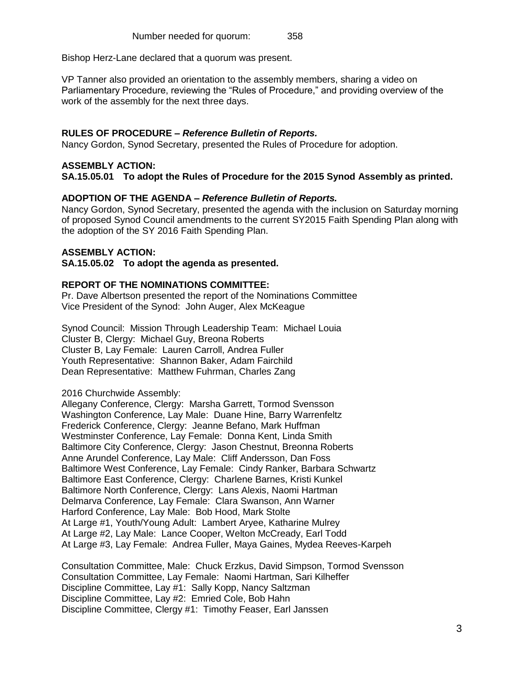Bishop Herz-Lane declared that a quorum was present.

VP Tanner also provided an orientation to the assembly members, sharing a video on Parliamentary Procedure, reviewing the "Rules of Procedure," and providing overview of the work of the assembly for the next three days.

# **RULES OF PROCEDURE –** *Reference Bulletin of Reports.*

Nancy Gordon, Synod Secretary, presented the Rules of Procedure for adoption.

# **ASSEMBLY ACTION:**

**SA.15.05.01 To adopt the Rules of Procedure for the 2015 Synod Assembly as printed.**

# **ADOPTION OF THE AGENDA –** *Reference Bulletin of Reports.*

Nancy Gordon, Synod Secretary, presented the agenda with the inclusion on Saturday morning of proposed Synod Council amendments to the current SY2015 Faith Spending Plan along with the adoption of the SY 2016 Faith Spending Plan.

# **ASSEMBLY ACTION:**

### **SA.15.05.02 To adopt the agenda as presented.**

# **REPORT OF THE NOMINATIONS COMMITTEE:**

Pr. Dave Albertson presented the report of the Nominations Committee Vice President of the Synod: John Auger, Alex McKeague

Synod Council: Mission Through Leadership Team: Michael Louia Cluster B, Clergy: Michael Guy, Breona Roberts Cluster B, Lay Female: Lauren Carroll, Andrea Fuller Youth Representative: Shannon Baker, Adam Fairchild Dean Representative: Matthew Fuhrman, Charles Zang

### 2016 Churchwide Assembly:

Allegany Conference, Clergy: Marsha Garrett, Tormod Svensson Washington Conference, Lay Male: Duane Hine, Barry Warrenfeltz Frederick Conference, Clergy: Jeanne Befano, Mark Huffman Westminster Conference, Lay Female: Donna Kent, Linda Smith Baltimore City Conference, Clergy: Jason Chestnut, Breonna Roberts Anne Arundel Conference, Lay Male: Cliff Andersson, Dan Foss Baltimore West Conference, Lay Female: Cindy Ranker, Barbara Schwartz Baltimore East Conference, Clergy: Charlene Barnes, Kristi Kunkel Baltimore North Conference, Clergy: Lans Alexis, Naomi Hartman Delmarva Conference, Lay Female: Clara Swanson, Ann Warner Harford Conference, Lay Male: Bob Hood, Mark Stolte At Large #1, Youth/Young Adult: Lambert Aryee, Katharine Mulrey At Large #2, Lay Male: Lance Cooper, Welton McCready, Earl Todd At Large #3, Lay Female: Andrea Fuller, Maya Gaines, Mydea Reeves-Karpeh

Consultation Committee, Male: Chuck Erzkus, David Simpson, Tormod Svensson Consultation Committee, Lay Female: Naomi Hartman, Sari Kilheffer Discipline Committee, Lay #1: Sally Kopp, Nancy Saltzman Discipline Committee, Lay #2: Emried Cole, Bob Hahn Discipline Committee, Clergy #1: Timothy Feaser, Earl Janssen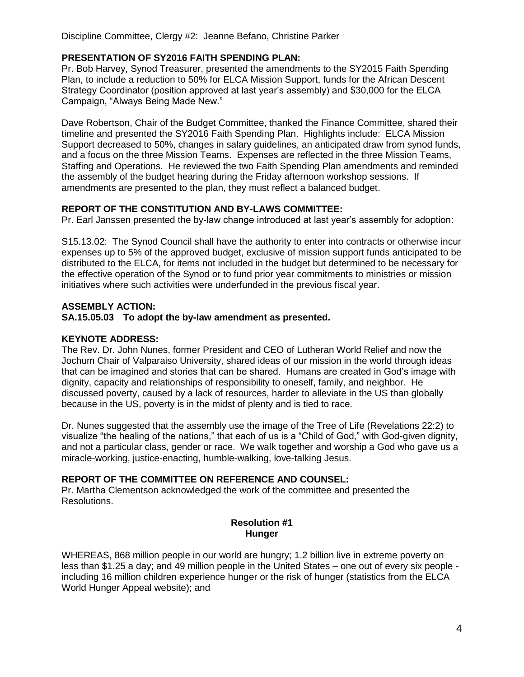Discipline Committee, Clergy #2: Jeanne Befano, Christine Parker

# **PRESENTATION OF SY2016 FAITH SPENDING PLAN:**

Pr. Bob Harvey, Synod Treasurer, presented the amendments to the SY2015 Faith Spending Plan, to include a reduction to 50% for ELCA Mission Support, funds for the African Descent Strategy Coordinator (position approved at last year's assembly) and \$30,000 for the ELCA Campaign, "Always Being Made New."

Dave Robertson, Chair of the Budget Committee, thanked the Finance Committee, shared their timeline and presented the SY2016 Faith Spending Plan. Highlights include: ELCA Mission Support decreased to 50%, changes in salary guidelines, an anticipated draw from synod funds, and a focus on the three Mission Teams. Expenses are reflected in the three Mission Teams, Staffing and Operations. He reviewed the two Faith Spending Plan amendments and reminded the assembly of the budget hearing during the Friday afternoon workshop sessions. If amendments are presented to the plan, they must reflect a balanced budget.

# **REPORT OF THE CONSTITUTION AND BY-LAWS COMMITTEE:**

Pr. Earl Janssen presented the by-law change introduced at last year's assembly for adoption:

S15.13.02: The Synod Council shall have the authority to enter into contracts or otherwise incur expenses up to 5% of the approved budget, exclusive of mission support funds anticipated to be distributed to the ELCA, for items not included in the budget but determined to be necessary for the effective operation of the Synod or to fund prior year commitments to ministries or mission initiatives where such activities were underfunded in the previous fiscal year.

# **ASSEMBLY ACTION:**

# **SA.15.05.03 To adopt the by-law amendment as presented.**

# **KEYNOTE ADDRESS:**

The Rev. Dr. John Nunes, former President and CEO of Lutheran World Relief and now the Jochum Chair of Valparaiso University, shared ideas of our mission in the world through ideas that can be imagined and stories that can be shared. Humans are created in God's image with dignity, capacity and relationships of responsibility to oneself, family, and neighbor. He discussed poverty, caused by a lack of resources, harder to alleviate in the US than globally because in the US, poverty is in the midst of plenty and is tied to race.

Dr. Nunes suggested that the assembly use the image of the Tree of Life (Revelations 22:2) to visualize "the healing of the nations," that each of us is a "Child of God," with God-given dignity, and not a particular class, gender or race. We walk together and worship a God who gave us a miracle-working, justice-enacting, humble-walking, love-talking Jesus.

# **REPORT OF THE COMMITTEE ON REFERENCE AND COUNSEL:**

Pr. Martha Clementson acknowledged the work of the committee and presented the Resolutions.

# **Resolution #1 Hunger**

WHEREAS, 868 million people in our world are hungry; 1.2 billion live in extreme poverty on less than \$1.25 a day; and 49 million people in the United States – one out of every six people including 16 million children experience hunger or the risk of hunger (statistics from the ELCA World Hunger Appeal website); and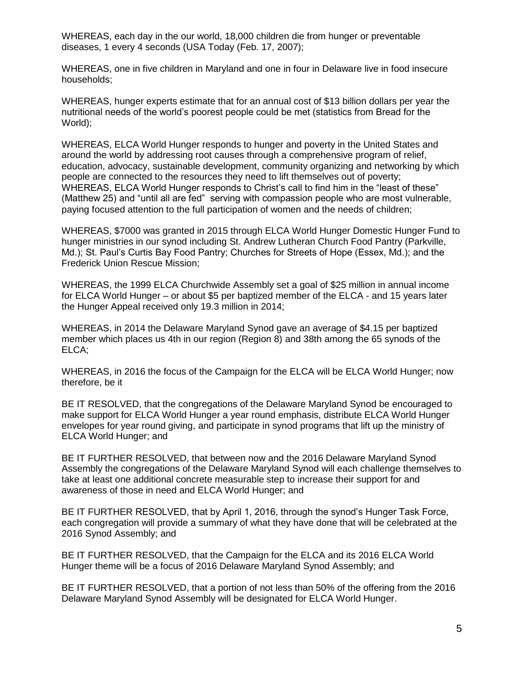WHEREAS, each day in the our world, 18,000 children die from hunger or preventable diseases, 1 every 4 seconds (USA Today (Feb. 17, 2007);

WHEREAS, one in five children in Maryland and one in four in Delaware live in food insecure households;

WHEREAS, hunger experts estimate that for an annual cost of \$13 billion dollars per year the nutritional needs of the world's poorest people could be met (statistics from Bread for the World);

WHEREAS, ELCA World Hunger responds to hunger and poverty in the United States and around the world by addressing root causes through a comprehensive program of relief, education, advocacy, sustainable development, community organizing and networking by which people are connected to the resources they need to lift themselves out of poverty; WHEREAS, ELCA World Hunger responds to Christ's call to find him in the "least of these" (Matthew 25) and "until all are fed" serving with compassion people who are most vulnerable, paying focused attention to the full participation of women and the needs of children;

WHEREAS, \$7000 was granted in 2015 through ELCA World Hunger Domestic Hunger Fund to hunger ministries in our synod including St. Andrew Lutheran Church Food Pantry (Parkville, Md.); St. Paul's Curtis Bay Food Pantry; Churches for Streets of Hope (Essex, Md.); and the Frederick Union Rescue Mission;

WHEREAS, the 1999 ELCA Churchwide Assembly set a goal of \$25 million in annual income for ELCA World Hunger – or about \$5 per baptized member of the ELCA - and 15 years later the Hunger Appeal received only 19.3 million in 2014;

WHEREAS, in 2014 the Delaware Maryland Synod gave an average of \$4.15 per baptized member which places us 4th in our region (Region 8) and 38th among the 65 synods of the ELCA;

WHEREAS, in 2016 the focus of the Campaign for the ELCA will be ELCA World Hunger; now therefore, be it

BE IT RESOLVED, that the congregations of the Delaware Maryland Synod be encouraged to make support for ELCA World Hunger a year round emphasis, distribute ELCA World Hunger envelopes for year round giving, and participate in synod programs that lift up the ministry of ELCA World Hunger; and

BE IT FURTHER RESOLVED, that between now and the 2016 Delaware Maryland Synod Assembly the congregations of the Delaware Maryland Synod will each challenge themselves to take at least one additional concrete measurable step to increase their support for and awareness of those in need and ELCA World Hunger; and

BE IT FURTHER RESOLVED, that by April 1, 2016, through the synod's Hunger Task Force, each congregation will provide a summary of what they have done that will be celebrated at the 2016 Synod Assembly; and

BE IT FURTHER RESOLVED, that the Campaign for the ELCA and its 2016 ELCA World Hunger theme will be a focus of 2016 Delaware Maryland Synod Assembly; and

BE IT FURTHER RESOLVED, that a portion of not less than 50% of the offering from the 2016 Delaware Maryland Synod Assembly will be designated for ELCA World Hunger.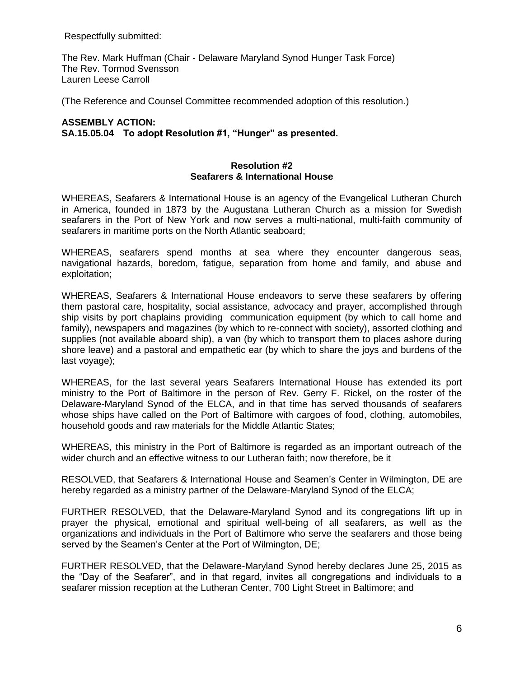Respectfully submitted:

The Rev. Mark Huffman (Chair - Delaware Maryland Synod Hunger Task Force) The Rev. Tormod Svensson Lauren Leese Carroll

(The Reference and Counsel Committee recommended adoption of this resolution.)

# **ASSEMBLY ACTION: SA.15.05.04 To adopt Resolution #1, "Hunger" as presented.**

### **Resolution #2 Seafarers & International House**

WHEREAS, Seafarers & International House is an agency of the Evangelical Lutheran Church in America, founded in 1873 by the Augustana Lutheran Church as a mission for Swedish seafarers in the Port of New York and now serves a multi-national, multi-faith community of seafarers in maritime ports on the North Atlantic seaboard;

WHEREAS, seafarers spend months at sea where they encounter dangerous seas, navigational hazards, boredom, fatigue, separation from home and family, and abuse and exploitation;

WHEREAS, Seafarers & International House endeavors to serve these seafarers by offering them pastoral care, hospitality, social assistance, advocacy and prayer, accomplished through ship visits by port chaplains providing communication equipment (by which to call home and family), newspapers and magazines (by which to re-connect with society), assorted clothing and supplies (not available aboard ship), a van (by which to transport them to places ashore during shore leave) and a pastoral and empathetic ear (by which to share the joys and burdens of the last voyage);

WHEREAS, for the last several years Seafarers International House has extended its port ministry to the Port of Baltimore in the person of Rev. Gerry F. Rickel, on the roster of the Delaware-Maryland Synod of the ELCA, and in that time has served thousands of seafarers whose ships have called on the Port of Baltimore with cargoes of food, clothing, automobiles, household goods and raw materials for the Middle Atlantic States;

WHEREAS, this ministry in the Port of Baltimore is regarded as an important outreach of the wider church and an effective witness to our Lutheran faith; now therefore, be it

RESOLVED, that Seafarers & International House and Seamen's Center in Wilmington, DE are hereby regarded as a ministry partner of the Delaware-Maryland Synod of the ELCA;

FURTHER RESOLVED, that the Delaware-Maryland Synod and its congregations lift up in prayer the physical, emotional and spiritual well-being of all seafarers, as well as the organizations and individuals in the Port of Baltimore who serve the seafarers and those being served by the Seamen's Center at the Port of Wilmington, DE;

FURTHER RESOLVED, that the Delaware-Maryland Synod hereby declares June 25, 2015 as the "Day of the Seafarer", and in that regard, invites all congregations and individuals to a seafarer mission reception at the Lutheran Center, 700 Light Street in Baltimore; and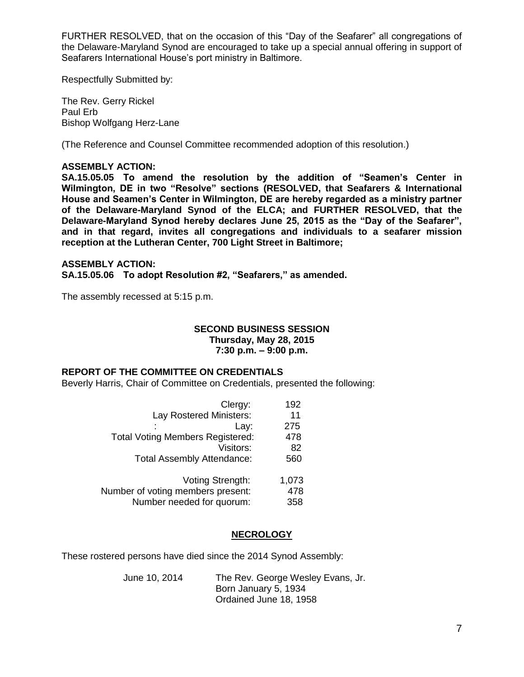FURTHER RESOLVED, that on the occasion of this "Day of the Seafarer" all congregations of the Delaware-Maryland Synod are encouraged to take up a special annual offering in support of Seafarers International House's port ministry in Baltimore.

Respectfully Submitted by:

The Rev. Gerry Rickel Paul Erb Bishop Wolfgang Herz-Lane

(The Reference and Counsel Committee recommended adoption of this resolution.)

# **ASSEMBLY ACTION:**

**SA.15.05.05 To amend the resolution by the addition of "Seamen's Center in Wilmington, DE in two "Resolve" sections (RESOLVED, that Seafarers & International House and Seamen's Center in Wilmington, DE are hereby regarded as a ministry partner of the Delaware-Maryland Synod of the ELCA; and FURTHER RESOLVED, that the Delaware-Maryland Synod hereby declares June 25, 2015 as the "Day of the Seafarer", and in that regard, invites all congregations and individuals to a seafarer mission reception at the Lutheran Center, 700 Light Street in Baltimore;** 

### **ASSEMBLY ACTION:**

**SA.15.05.06 To adopt Resolution #2, "Seafarers," as amended.**

The assembly recessed at 5:15 p.m.

### **SECOND BUSINESS SESSION Thursday, May 28, 2015 7:30 p.m. – 9:00 p.m.**

# **REPORT OF THE COMMITTEE ON CREDENTIALS**

Beverly Harris, Chair of Committee on Credentials, presented the following:

| Clergy:                                 | 192   |
|-----------------------------------------|-------|
| Lay Rostered Ministers:                 | 11    |
| Lay:                                    | 275   |
| <b>Total Voting Members Registered:</b> | 478   |
| Visitors:                               | 82    |
| <b>Total Assembly Attendance:</b>       | 560   |
|                                         |       |
| Voting Strength:                        | 1,073 |
| Number of voting members present:       | 478   |
| Number needed for quorum:               | 358   |

# **NECROLOGY**

These rostered persons have died since the 2014 Synod Assembly:

| June 10, 2014 | The Rev. George Wesley Evans, Jr. |
|---------------|-----------------------------------|
|               | Born January 5, 1934              |
|               | Ordained June 18, 1958            |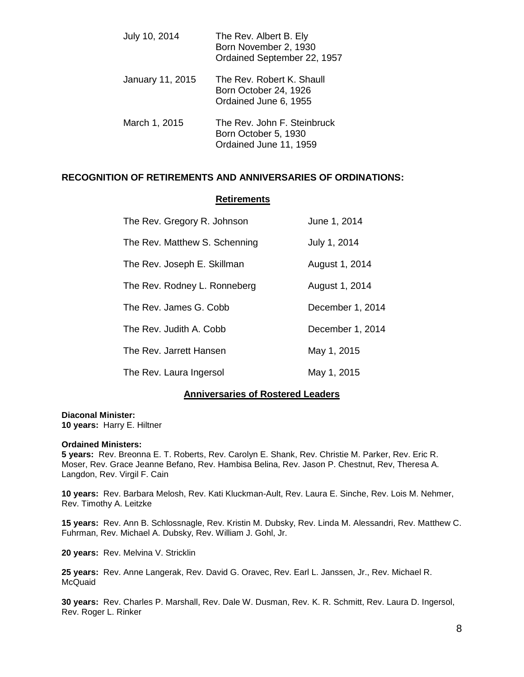| July 10, 2014    | The Rev. Albert B. Ely<br>Born November 2, 1930<br>Ordained September 22, 1957 |
|------------------|--------------------------------------------------------------------------------|
| January 11, 2015 | The Rev. Robert K. Shaull<br>Born October 24, 1926<br>Ordained June 6, 1955    |
| March 1, 2015    | The Rev. John F. Steinbruck<br>Born October 5, 1930<br>Ordained June 11, 1959  |

# **RECOGNITION OF RETIREMENTS AND ANNIVERSARIES OF ORDINATIONS:**

#### **Retirements**

| The Rev. Gregory R. Johnson   | June 1, 2014     |
|-------------------------------|------------------|
| The Rev. Matthew S. Schenning | July 1, 2014     |
| The Rev. Joseph E. Skillman   | August 1, 2014   |
| The Rev. Rodney L. Ronneberg  | August 1, 2014   |
| The Rev. James G. Cobb        | December 1, 2014 |
| The Rev. Judith A. Cobb       | December 1, 2014 |
| The Rev. Jarrett Hansen       | May 1, 2015      |
| The Rev. Laura Ingersol       | May 1, 2015      |

## **Anniversaries of Rostered Leaders**

**Diaconal Minister: 10 years:** Harry E. Hiltner

#### **Ordained Ministers:**

**5 years:** Rev. Breonna E. T. Roberts, Rev. Carolyn E. Shank, Rev. Christie M. Parker, Rev. Eric R. Moser, Rev. Grace Jeanne Befano, Rev. Hambisa Belina, Rev. Jason P. Chestnut, Rev, Theresa A. Langdon, Rev. Virgil F. Cain

**10 years:** Rev. Barbara Melosh, Rev. Kati Kluckman-Ault, Rev. Laura E. Sinche, Rev. Lois M. Nehmer, Rev. Timothy A. Leitzke

**15 years:** Rev. Ann B. Schlossnagle, Rev. Kristin M. Dubsky, Rev. Linda M. Alessandri, Rev. Matthew C. Fuhrman, Rev. Michael A. Dubsky, Rev. William J. Gohl, Jr.

**20 years:** Rev. Melvina V. Stricklin

**25 years:** Rev. Anne Langerak, Rev. David G. Oravec, Rev. Earl L. Janssen, Jr., Rev. Michael R. **McQuaid** 

**30 years:** Rev. Charles P. Marshall, Rev. Dale W. Dusman, Rev. K. R. Schmitt, Rev. Laura D. Ingersol, Rev. Roger L. Rinker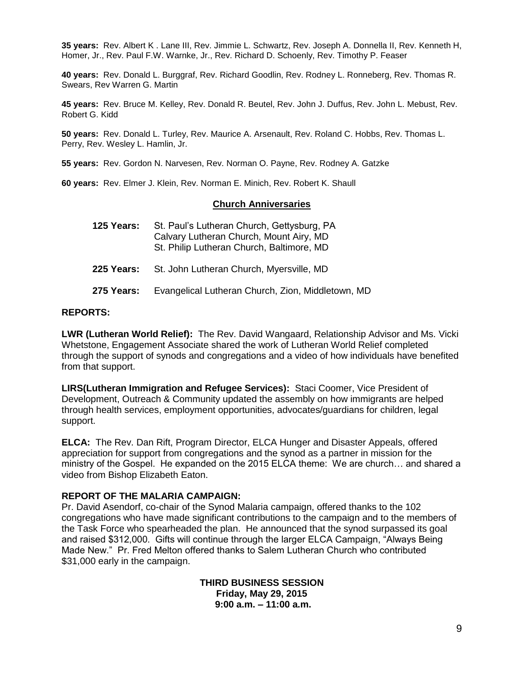**35 years:** Rev. Albert K . Lane III, Rev. Jimmie L. Schwartz, Rev. Joseph A. Donnella II, Rev. Kenneth H, Homer, Jr., Rev. Paul F.W. Warnke, Jr., Rev. Richard D. Schoenly, Rev. Timothy P. Feaser

**40 years:** Rev. Donald L. Burggraf, Rev. Richard Goodlin, Rev. Rodney L. Ronneberg, Rev. Thomas R. Swears, Rev Warren G. Martin

**45 years:** Rev. Bruce M. Kelley, Rev. Donald R. Beutel, Rev. John J. Duffus, Rev. John L. Mebust, Rev. Robert G. Kidd

**50 years:** Rev. Donald L. Turley, Rev. Maurice A. Arsenault, Rev. Roland C. Hobbs, Rev. Thomas L. Perry, Rev. Wesley L. Hamlin, Jr.

**55 years:** Rev. Gordon N. Narvesen, Rev. Norman O. Payne, Rev. Rodney A. Gatzke

**60 years:** Rev. Elmer J. Klein, Rev. Norman E. Minich, Rev. Robert K. Shaull

#### **Church Anniversaries**

| 125 Years: | St. Paul's Lutheran Church, Gettysburg, PA<br>Calvary Lutheran Church, Mount Airy, MD<br>St. Philip Lutheran Church, Baltimore, MD |
|------------|------------------------------------------------------------------------------------------------------------------------------------|
|            | 225 Years: St. John Lutheran Church, Myersville, MD                                                                                |
| 275 Years: | Evangelical Lutheran Church, Zion, Middletown, MD                                                                                  |

#### **REPORTS:**

**LWR (Lutheran World Relief):** The Rev. David Wangaard, Relationship Advisor and Ms. Vicki Whetstone, Engagement Associate shared the work of Lutheran World Relief completed through the support of synods and congregations and a video of how individuals have benefited from that support.

**LIRS(Lutheran Immigration and Refugee Services):** Staci Coomer, Vice President of Development, Outreach & Community updated the assembly on how immigrants are helped through health services, employment opportunities, advocates/guardians for children, legal support.

**ELCA:** The Rev. Dan Rift, Program Director, ELCA Hunger and Disaster Appeals, offered appreciation for support from congregations and the synod as a partner in mission for the ministry of the Gospel. He expanded on the 2015 ELCA theme: We are church… and shared a video from Bishop Elizabeth Eaton.

### **REPORT OF THE MALARIA CAMPAIGN:**

Pr. David Asendorf, co-chair of the Synod Malaria campaign, offered thanks to the 102 congregations who have made significant contributions to the campaign and to the members of the Task Force who spearheaded the plan. He announced that the synod surpassed its goal and raised \$312,000. Gifts will continue through the larger ELCA Campaign, "Always Being Made New." Pr. Fred Melton offered thanks to Salem Lutheran Church who contributed \$31,000 early in the campaign.

> **THIRD BUSINESS SESSION Friday, May 29, 2015 9:00 a.m. – 11:00 a.m.**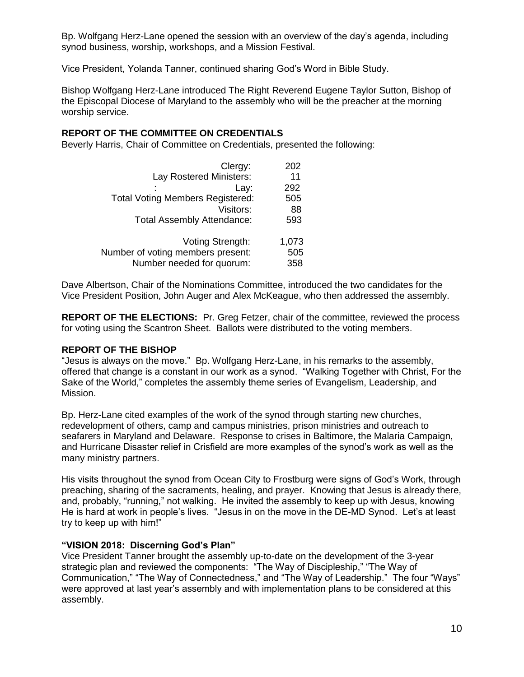Bp. Wolfgang Herz-Lane opened the session with an overview of the day's agenda, including synod business, worship, workshops, and a Mission Festival.

Vice President, Yolanda Tanner, continued sharing God's Word in Bible Study.

Bishop Wolfgang Herz-Lane introduced The Right Reverend Eugene Taylor Sutton, Bishop of the Episcopal Diocese of Maryland to the assembly who will be the preacher at the morning worship service.

### **REPORT OF THE COMMITTEE ON CREDENTIALS**

Beverly Harris, Chair of Committee on Credentials, presented the following:

| Clergy:                                 | 202   |
|-----------------------------------------|-------|
| Lay Rostered Ministers:                 | 11    |
| Lay:                                    | 292   |
| <b>Total Voting Members Registered:</b> | 505   |
| Visitors:                               | 88    |
| <b>Total Assembly Attendance:</b>       | 593   |
|                                         |       |
| Voting Strength:                        | 1,073 |
| Number of voting members present:       | 505   |
| Number needed for quorum:               | 358   |

Dave Albertson, Chair of the Nominations Committee, introduced the two candidates for the Vice President Position, John Auger and Alex McKeague, who then addressed the assembly.

**REPORT OF THE ELECTIONS:** Pr. Greg Fetzer, chair of the committee, reviewed the process for voting using the Scantron Sheet. Ballots were distributed to the voting members.

### **REPORT OF THE BISHOP**

"Jesus is always on the move." Bp. Wolfgang Herz-Lane, in his remarks to the assembly, offered that change is a constant in our work as a synod. "Walking Together with Christ, For the Sake of the World," completes the assembly theme series of Evangelism, Leadership, and Mission.

Bp. Herz-Lane cited examples of the work of the synod through starting new churches, redevelopment of others, camp and campus ministries, prison ministries and outreach to seafarers in Maryland and Delaware. Response to crises in Baltimore, the Malaria Campaign, and Hurricane Disaster relief in Crisfield are more examples of the synod's work as well as the many ministry partners.

His visits throughout the synod from Ocean City to Frostburg were signs of God's Work, through preaching, sharing of the sacraments, healing, and prayer. Knowing that Jesus is already there, and, probably, "running," not walking. He invited the assembly to keep up with Jesus, knowing He is hard at work in people's lives. "Jesus in on the move in the DE-MD Synod. Let's at least try to keep up with him!"

### **"VISION 2018: Discerning God's Plan"**

Vice President Tanner brought the assembly up-to-date on the development of the 3-year strategic plan and reviewed the components: "The Way of Discipleship," "The Way of Communication," "The Way of Connectedness," and "The Way of Leadership." The four "Ways" were approved at last year's assembly and with implementation plans to be considered at this assembly.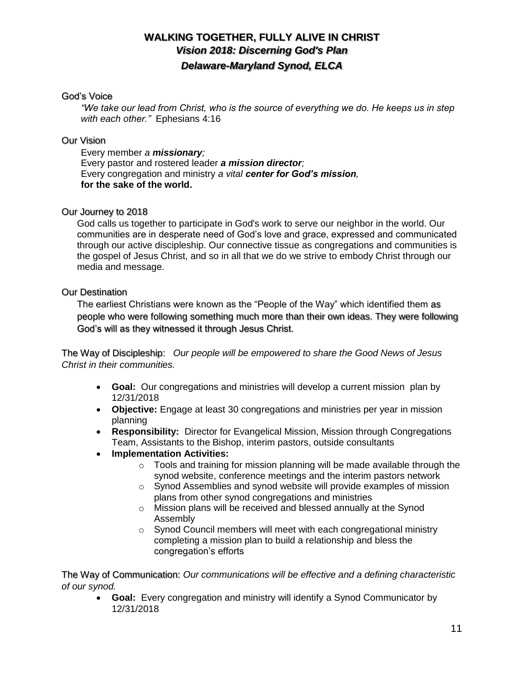# **WALKING TOGETHER, FULLY ALIVE IN CHRIST** *Vision 2018: Discerning God's Plan Delaware-Maryland Synod, ELCA*

# God's Voice

*"We take our lead from Christ, who is the source of everything we do. He keeps us in step with each other."* Ephesians 4:16

# Our Vision

Every member *a missionary;* Every pastor and rostered leader *a mission director;* Every congregation and ministry *a vital center for God's mission,*  **for the sake of the world.** 

# Our Journey to 2018

God calls us together to participate in God's work to serve our neighbor in the world. Our communities are in desperate need of God's love and grace, expressed and communicated through our active discipleship. Our connective tissue as congregations and communities is the gospel of Jesus Christ, and so in all that we do we strive to embody Christ through our media and message.

# Our Destination

The earliest Christians were known as the "People of the Way" which identified them as people who were following something much more than their own ideas. They were following God's will as they witnessed it through Jesus Christ.

The Way of Discipleship: *Our people will be empowered to share the Good News of Jesus Christ in their communities.*

- **Goal:**Our congregations and ministries will develop a current mission plan by 12/31/2018
- **Objective:** Engage at least 30 congregations and ministries per year in mission planning
- **Responsibility:** Director for Evangelical Mission, Mission through Congregations Team, Assistants to the Bishop, interim pastors, outside consultants
- **Implementation Activities:**
	- $\circ$  Tools and training for mission planning will be made available through the synod website, conference meetings and the interim pastors network
	- o Synod Assemblies and synod website will provide examples of mission plans from other synod congregations and ministries
	- o Mission plans will be received and blessed annually at the Synod Assembly
	- o Synod Council members will meet with each congregational ministry completing a mission plan to build a relationship and bless the congregation's efforts

The Way of Communication: *Our communications will be effective and a defining characteristic of our synod.*

 **Goal:**Every congregation and ministry will identify a Synod Communicator by 12/31/2018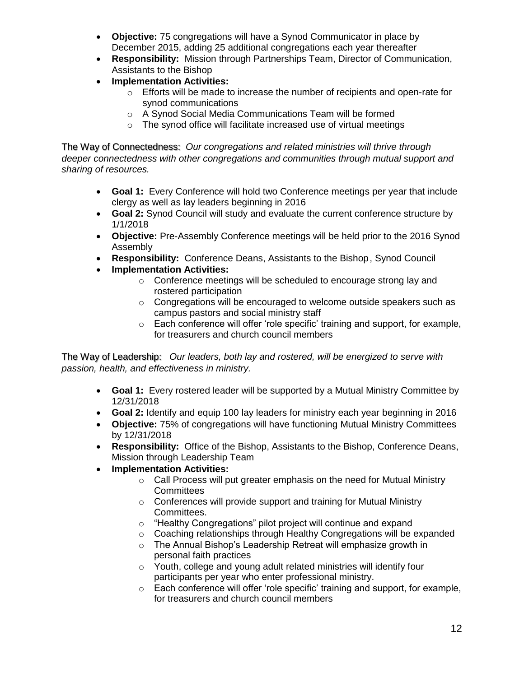- **Objective:** 75 congregations will have a Synod Communicator in place by December 2015, adding 25 additional congregations each year thereafter
- **Responsibility:** Mission through Partnerships Team, Director of Communication, Assistants to the Bishop
- **Implementation Activities:**
	- $\circ$  Efforts will be made to increase the number of recipients and open-rate for synod communications
	- o A Synod Social Media Communications Team will be formed
	- o The synod office will facilitate increased use of virtual meetings

The Way of Connectedness: *Our congregations and related ministries will thrive through deeper connectedness with other congregations and communities through mutual support and sharing of resources.*

- **Goal 1:**Every Conference will hold two Conference meetings per year that include clergy as well as lay leaders beginning in 2016
- **Goal 2:** Synod Council will study and evaluate the current conference structure by 1/1/2018
- **Objective:** Pre-Assembly Conference meetings will be held prior to the 2016 Synod Assembly
- **Responsibility:** Conference Deans, Assistants to the Bishop, Synod Council
- **Implementation Activities:**
	- o Conference meetings will be scheduled to encourage strong lay and rostered participation
	- $\circ$  Congregations will be encouraged to welcome outside speakers such as campus pastors and social ministry staff
	- $\circ$  Each conference will offer 'role specific' training and support, for example, for treasurers and church council members

The Way of Leadership: *Our leaders, both lay and rostered, will be energized to serve with passion, health, and effectiveness in ministry.*

- **Goal 1:** Every rostered leader will be supported by a Mutual Ministry Committee by 12/31/2018
- **Goal 2:** Identify and equip 100 lay leaders for ministry each year beginning in 2016
- **Objective:** 75% of congregations will have functioning Mutual Ministry Committees by 12/31/2018
- **Responsibility:** Office of the Bishop, Assistants to the Bishop, Conference Deans, Mission through Leadership Team
- **Implementation Activities:**
	- o Call Process will put greater emphasis on the need for Mutual Ministry **Committees**
	- o Conferences will provide support and training for Mutual Ministry Committees.
	- o "Healthy Congregations" pilot project will continue and expand
	- o Coaching relationships through Healthy Congregations will be expanded
	- o The Annual Bishop's Leadership Retreat will emphasize growth in personal faith practices
	- o Youth, college and young adult related ministries will identify four participants per year who enter professional ministry.
	- o Each conference will offer 'role specific' training and support, for example, for treasurers and church council members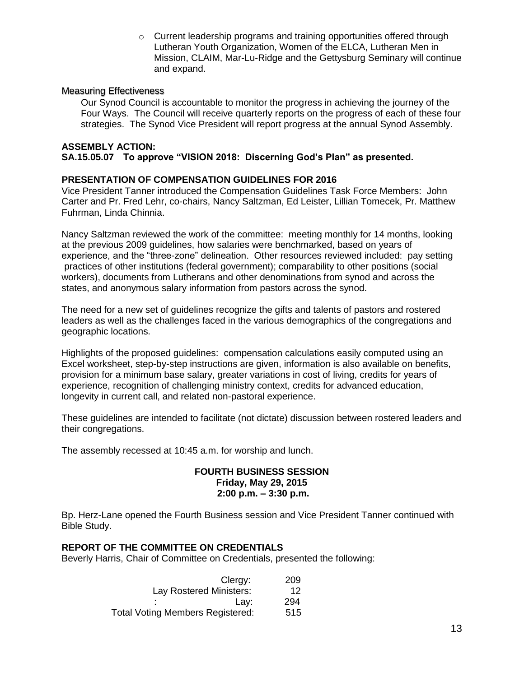o Current leadership programs and training opportunities offered through Lutheran Youth Organization, Women of the ELCA, Lutheran Men in Mission, CLAIM, Mar-Lu-Ridge and the Gettysburg Seminary will continue and expand.

# Measuring Effectiveness

Our Synod Council is accountable to monitor the progress in achieving the journey of the Four Ways. The Council will receive quarterly reports on the progress of each of these four strategies. The Synod Vice President will report progress at the annual Synod Assembly.

#### **ASSEMBLY ACTION: SA.15.05.07 To approve "VISION 2018: Discerning God's Plan" as presented.**

# **PRESENTATION OF COMPENSATION GUIDELINES FOR 2016**

Vice President Tanner introduced the Compensation Guidelines Task Force Members: John Carter and Pr. Fred Lehr, co-chairs, Nancy Saltzman, Ed Leister, Lillian Tomecek, Pr. Matthew Fuhrman, Linda Chinnia.

Nancy Saltzman reviewed the work of the committee: meeting monthly for 14 months, looking at the previous 2009 guidelines, how salaries were benchmarked, based on years of experience, and the "three-zone" delineation. Other resources reviewed included: pay setting practices of other institutions (federal government); comparability to other positions (social workers), documents from Lutherans and other denominations from synod and across the states, and anonymous salary information from pastors across the synod.

The need for a new set of guidelines recognize the gifts and talents of pastors and rostered leaders as well as the challenges faced in the various demographics of the congregations and geographic locations.

Highlights of the proposed guidelines: compensation calculations easily computed using an Excel worksheet, step-by-step instructions are given, information is also available on benefits, provision for a minimum base salary, greater variations in cost of living, credits for years of experience, recognition of challenging ministry context, credits for advanced education, longevity in current call, and related non-pastoral experience.

These guidelines are intended to facilitate (not dictate) discussion between rostered leaders and their congregations.

The assembly recessed at 10:45 a.m. for worship and lunch.

# **FOURTH BUSINESS SESSION Friday, May 29, 2015 2:00 p.m. – 3:30 p.m.**

Bp. Herz-Lane opened the Fourth Business session and Vice President Tanner continued with Bible Study.

# **REPORT OF THE COMMITTEE ON CREDENTIALS**

Beverly Harris, Chair of Committee on Credentials, presented the following:

| Clergy:                                 | 209 |
|-----------------------------------------|-----|
| Lay Rostered Ministers:                 | 12  |
| Lav:<br>$\bullet$                       | 294 |
| <b>Total Voting Members Registered:</b> | 515 |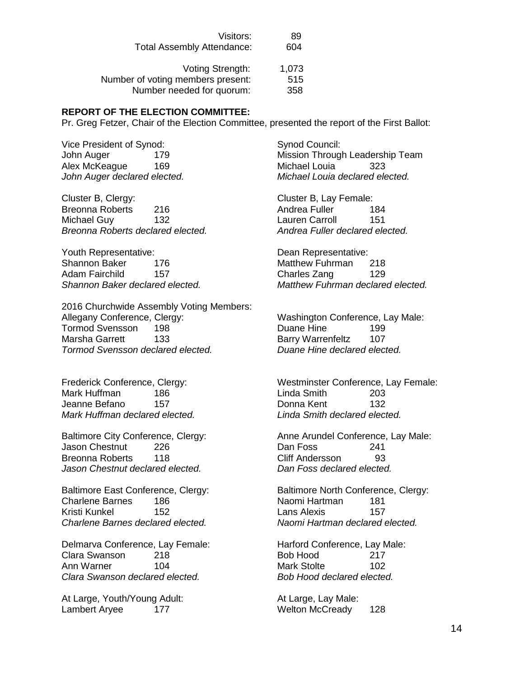| Visitors:                         | 89    |
|-----------------------------------|-------|
| <b>Total Assembly Attendance:</b> | 604   |
|                                   |       |
| Voting Strength:                  | 1,073 |
| Number of voting members present: | 515   |
| Number needed for quorum:         | 358   |

### **REPORT OF THE ELECTION COMMITTEE:**

Pr. Greg Fetzer, Chair of the Election Committee, presented the report of the First Ballot:

Vice President of Synod: Synod Council: Alex McKeague 169 Michael Louia 323

Cluster B, Clergy: Cluster B, Lay Female: Breonna Roberts 216 **Andrea Fuller** 184 Michael Guy 132 Lauren Carroll 151 *Breonna Roberts declared elected. Andrea Fuller declared elected.*

Youth Representative: Dean Representative: Shannon Baker 176 Matthew Fuhrman 218 Adam Fairchild 157 and Charles Zang 129

2016 Churchwide Assembly Voting Members: Allegany Conference, Clergy: Washington Conference, Lay Male: Tormod Svensson 198 Duane Hine 199 Marsha Garrett 133 Barry Warrenfeltz 107 *Tormod Svensson declared elected. Duane Hine declared elected.*

Mark Huffman 186 Linda Smith 203 Jeanne Befano 157 Donna Kent 132 *Mark Huffman declared elected. Linda Smith declared elected.*

Jason Chestnut 226 Dan Foss 241 Breonna Roberts 118 Cliff Andersson 93 *Jason Chestnut declared elected. Dan Foss declared elected.*

Charlene Barnes 186 Naomi Hartman 181 Kristi Kunkel 152 Lans Alexis 157 *Charlene Barnes declared elected. Naomi Hartman declared elected.*

Delmarva Conference, Lay Female: Harford Conference, Lay Male: Clara Swanson 218 Bob Hood 217 Ann Warner 104 Mark Stolte 102 *Clara Swanson declared elected. Bob Hood declared elected.*

At Large, Youth/Young Adult: At Large, Lay Male: Lambert Aryee 177 Methon McCready 128

John Auger 179 Mission Through Leadership Team *John Auger declared elected. Michael Louia declared elected.*

*Shannon Baker declared elected. Matthew Fuhrman declared elected.*

Frederick Conference, Clergy: Westminster Conference, Lay Female:

Baltimore City Conference, Clergy: Anne Arundel Conference, Lay Male:

Baltimore East Conference, Clergy: Baltimore North Conference, Clergy: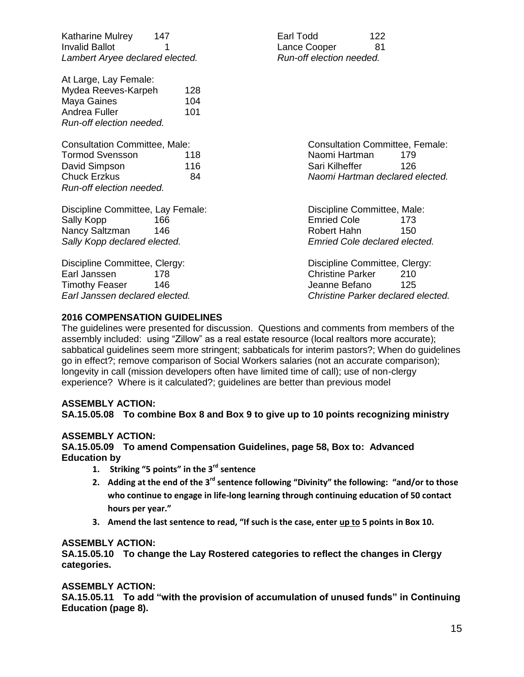| Katharine Mulrey<br>147<br><b>Invalid Ballot</b><br>1<br>Lambert Aryee declared elected.                                           |                   | Earl Todd<br>Lance Cooper<br>Run-off election needed.                                             | 122<br>81                                                                               |
|------------------------------------------------------------------------------------------------------------------------------------|-------------------|---------------------------------------------------------------------------------------------------|-----------------------------------------------------------------------------------------|
| At Large, Lay Female:<br>Mydea Reeves-Karpeh<br>Maya Gaines<br>Andrea Fuller<br>Run-off election needed.                           | 128<br>104<br>101 |                                                                                                   |                                                                                         |
| <b>Consultation Committee, Male:</b><br><b>Tormod Svensson</b><br>David Simpson<br><b>Chuck Erzkus</b><br>Run-off election needed. | 118<br>116<br>84  | Naomi Hartman<br>Sari Kilheffer                                                                   | <b>Consultation Committee, Female:</b><br>179<br>126<br>Naomi Hartman declared elected. |
| Discipline Committee, Lay Female:<br>Sally Kopp<br>166<br>Nancy Saltzman<br>146<br>Sally Kopp declared elected.                    |                   | Discipline Committee, Male:<br><b>Emried Cole</b><br>Robert Hahn<br>Emried Cole declared elected. | 173<br>150                                                                              |
| Discipline Committee, Clergy:<br>Earl Janssen<br>178<br>Timothy Feaser<br>146<br>Earl Janssen declared elected.                    |                   | Discipline Committee, Clergy:<br><b>Christine Parker</b><br>Jeanne Befano                         | 210<br>125<br>Christine Parker declared elected.                                        |

# **2016 COMPENSATION GUIDELINES**

The guidelines were presented for discussion. Questions and comments from members of the assembly included: using "Zillow" as a real estate resource (local realtors more accurate); sabbatical guidelines seem more stringent; sabbaticals for interim pastors?; When do guidelines go in effect?; remove comparison of Social Workers salaries (not an accurate comparison); longevity in call (mission developers often have limited time of call); use of non-clergy experience? Where is it calculated?; guidelines are better than previous model

### **ASSEMBLY ACTION:**

### **SA.15.05.08 To combine Box 8 and Box 9 to give up to 10 points recognizing ministry**

# **ASSEMBLY ACTION:**

# **SA.15.05.09 To amend Compensation Guidelines, page 58, Box to: Advanced Education by**

- **1. Striking "5 points" in the 3rd sentence**
- **2. Adding at the end of the 3rd sentence following "Divinity" the following: "and/or to those who continue to engage in life-long learning through continuing education of 50 contact hours per year."**
- **3. Amend the last sentence to read, "If such is the case, enter up to 5 points in Box 10.**

### **ASSEMBLY ACTION:**

**SA.15.05.10 To change the Lay Rostered categories to reflect the changes in Clergy categories.**

# **ASSEMBLY ACTION:**

**SA.15.05.11 To add "with the provision of accumulation of unused funds" in Continuing Education (page 8).**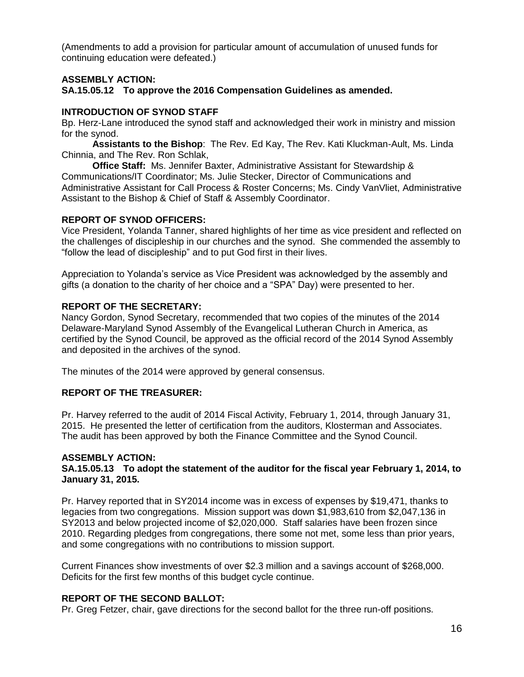(Amendments to add a provision for particular amount of accumulation of unused funds for continuing education were defeated.)

# **ASSEMBLY ACTION:**

**SA.15.05.12 To approve the 2016 Compensation Guidelines as amended.**

### **INTRODUCTION OF SYNOD STAFF**

Bp. Herz-Lane introduced the synod staff and acknowledged their work in ministry and mission for the synod.

**Assistants to the Bishop**: The Rev. Ed Kay, The Rev. Kati Kluckman-Ault, Ms. Linda Chinnia, and The Rev. Ron Schlak,

**Office Staff:** Ms. Jennifer Baxter, Administrative Assistant for Stewardship & Communications/IT Coordinator; Ms. Julie Stecker, Director of Communications and Administrative Assistant for Call Process & Roster Concerns; Ms. Cindy VanVliet, Administrative Assistant to the Bishop & Chief of Staff & Assembly Coordinator.

# **REPORT OF SYNOD OFFICERS:**

Vice President, Yolanda Tanner, shared highlights of her time as vice president and reflected on the challenges of discipleship in our churches and the synod. She commended the assembly to "follow the lead of discipleship" and to put God first in their lives.

Appreciation to Yolanda's service as Vice President was acknowledged by the assembly and gifts (a donation to the charity of her choice and a "SPA" Day) were presented to her.

# **REPORT OF THE SECRETARY:**

Nancy Gordon, Synod Secretary, recommended that two copies of the minutes of the 2014 Delaware-Maryland Synod Assembly of the Evangelical Lutheran Church in America, as certified by the Synod Council, be approved as the official record of the 2014 Synod Assembly and deposited in the archives of the synod.

The minutes of the 2014 were approved by general consensus.

### **REPORT OF THE TREASURER:**

Pr. Harvey referred to the audit of 2014 Fiscal Activity, February 1, 2014, through January 31, 2015. He presented the letter of certification from the auditors, Klosterman and Associates. The audit has been approved by both the Finance Committee and the Synod Council.

### **ASSEMBLY ACTION:**

### **SA.15.05.13 To adopt the statement of the auditor for the fiscal year February 1, 2014, to January 31, 2015.**

Pr. Harvey reported that in SY2014 income was in excess of expenses by \$19,471, thanks to legacies from two congregations. Mission support was down \$1,983,610 from \$2,047,136 in SY2013 and below projected income of \$2,020,000. Staff salaries have been frozen since 2010. Regarding pledges from congregations, there some not met, some less than prior years, and some congregations with no contributions to mission support.

Current Finances show investments of over \$2.3 million and a savings account of \$268,000. Deficits for the first few months of this budget cycle continue.

### **REPORT OF THE SECOND BALLOT:**

Pr. Greg Fetzer, chair, gave directions for the second ballot for the three run-off positions.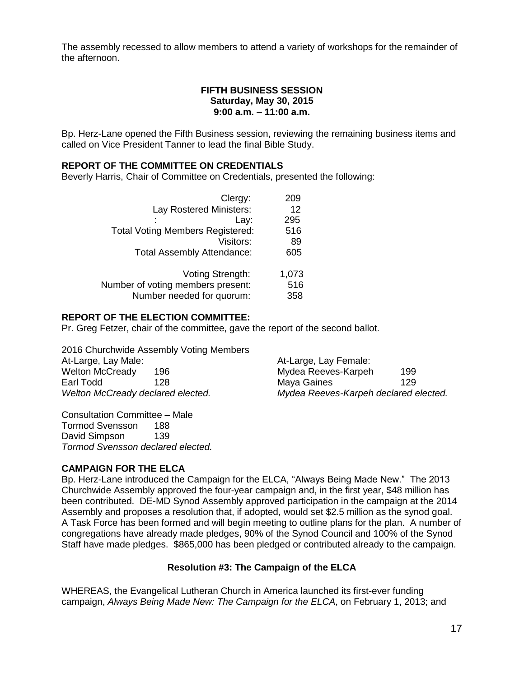The assembly recessed to allow members to attend a variety of workshops for the remainder of the afternoon.

# **FIFTH BUSINESS SESSION Saturday, May 30, 2015 9:00 a.m. – 11:00 a.m.**

Bp. Herz-Lane opened the Fifth Business session, reviewing the remaining business items and called on Vice President Tanner to lead the final Bible Study.

### **REPORT OF THE COMMITTEE ON CREDENTIALS**

Beverly Harris, Chair of Committee on Credentials, presented the following:

| Clergy:                                 | 209   |
|-----------------------------------------|-------|
| Lay Rostered Ministers:                 | 12    |
| Lay:                                    | 295   |
| <b>Total Voting Members Registered:</b> | 516   |
| Visitors:                               | 89    |
| <b>Total Assembly Attendance:</b>       | 605   |
|                                         |       |
| Voting Strength:                        | 1,073 |
| Number of voting members present:       | 516   |
| Number needed for quorum:               | 358   |

### **REPORT OF THE ELECTION COMMITTEE:**

Pr. Greg Fetzer, chair of the committee, gave the report of the second ballot.

2016 Churchwide Assembly Voting Members At-Large, Lay Male: At-Large, Lay Female: Welton McCready 196 Mydea Reeves-Karpeh 199 Earl Todd 128 Maya Gaines 129 *Welton McCready declared elected. Mydea Reeves-Karpeh declared elected.*

Consultation Committee – Male Tormod Svensson 188 David Simpson 139 *Tormod Svensson declared elected.*

### **CAMPAIGN FOR THE ELCA**

Bp. Herz-Lane introduced the Campaign for the ELCA, "Always Being Made New." The 2013 Churchwide Assembly approved the four-year campaign and, in the first year, \$48 million has been contributed. DE-MD Synod Assembly approved participation in the campaign at the 2014 Assembly and proposes a resolution that, if adopted, would set \$2.5 million as the synod goal. A Task Force has been formed and will begin meeting to outline plans for the plan. A number of congregations have already made pledges, 90% of the Synod Council and 100% of the Synod Staff have made pledges. \$865,000 has been pledged or contributed already to the campaign.

# **Resolution #3: The Campaign of the ELCA**

WHEREAS, the Evangelical Lutheran Church in America launched its first-ever funding campaign, *Always Being Made New: The Campaign for the ELCA*, on February 1, 2013; and